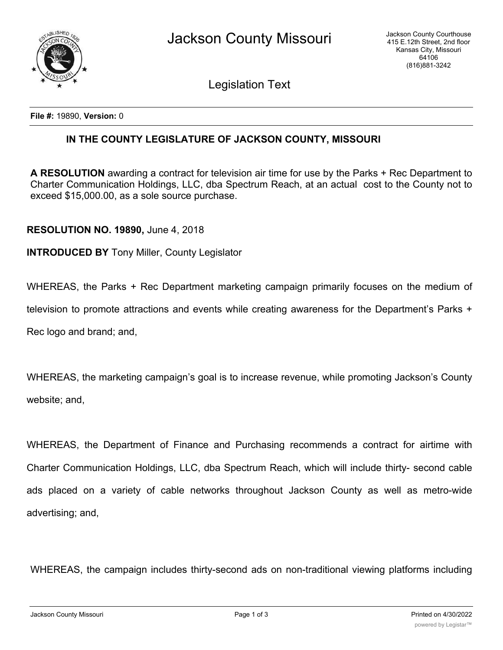

Legislation Text

**File #:** 19890, **Version:** 0

## **IN THE COUNTY LEGISLATURE OF JACKSON COUNTY, MISSOURI**

**A RESOLUTION** awarding a contract for television air time for use by the Parks + Rec Department to Charter Communication Holdings, LLC, dba Spectrum Reach, at an actual cost to the County not to exceed \$15,000.00, as a sole source purchase.

**RESOLUTION NO. 19890,** June 4, 2018

**INTRODUCED BY** Tony Miller, County Legislator

WHEREAS, the Parks + Rec Department marketing campaign primarily focuses on the medium of

television to promote attractions and events while creating awareness for the Department's Parks +

Rec logo and brand; and,

WHEREAS, the marketing campaign's goal is to increase revenue, while promoting Jackson's County website; and,

WHEREAS, the Department of Finance and Purchasing recommends a contract for airtime with Charter Communication Holdings, LLC, dba Spectrum Reach, which will include thirty- second cable ads placed on a variety of cable networks throughout Jackson County as well as metro-wide advertising; and,

WHEREAS, the campaign includes thirty-second ads on non-traditional viewing platforms including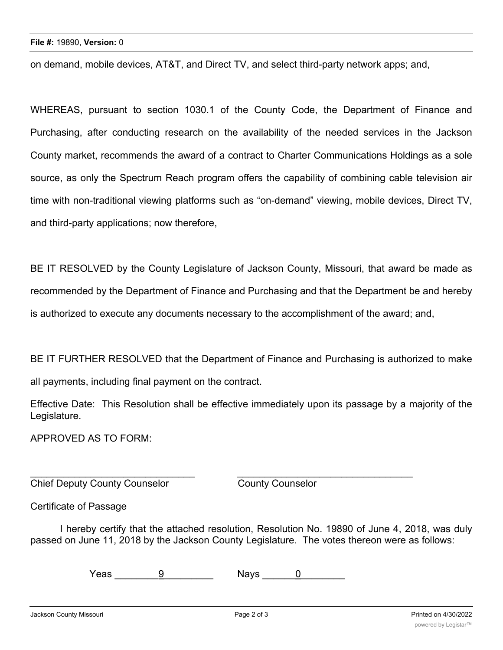on demand, mobile devices, AT&T, and Direct TV, and select third-party network apps; and,

WHEREAS, pursuant to section 1030.1 of the County Code, the Department of Finance and Purchasing, after conducting research on the availability of the needed services in the Jackson County market, recommends the award of a contract to Charter Communications Holdings as a sole source, as only the Spectrum Reach program offers the capability of combining cable television air time with non-traditional viewing platforms such as "on-demand" viewing, mobile devices, Direct TV, and third-party applications; now therefore,

BE IT RESOLVED by the County Legislature of Jackson County, Missouri, that award be made as recommended by the Department of Finance and Purchasing and that the Department be and hereby is authorized to execute any documents necessary to the accomplishment of the award; and,

BE IT FURTHER RESOLVED that the Department of Finance and Purchasing is authorized to make

all payments, including final payment on the contract.

Effective Date: This Resolution shall be effective immediately upon its passage by a majority of the Legislature.

APPROVED AS TO FORM:

**Chief Deputy County Counselor** County Counselor

Certificate of Passage

I hereby certify that the attached resolution, Resolution No. 19890 of June 4, 2018, was duly passed on June 11, 2018 by the Jackson County Legislature. The votes thereon were as follows:

 $\textsf{Yeas} \hspace{1cm} \frac{9}{2}$  Nays  $\frac{0}{2}$ 

 $\_$  , and the contribution of the contribution of  $\_$  . The contribution of  $\_$  ,  $\_$  ,  $\_$  ,  $\_$  ,  $\_$  ,  $\_$  ,  $\_$  ,  $\_$  ,  $\_$  ,  $\_$  ,  $\_$  ,  $\_$  ,  $\_$  ,  $\_$  ,  $\_$  ,  $\_$  ,  $\_$  ,  $\_$  ,  $\_$  ,  $\_$  ,  $\_$  ,  $\_$  ,  $\_$  ,  $\_$  ,